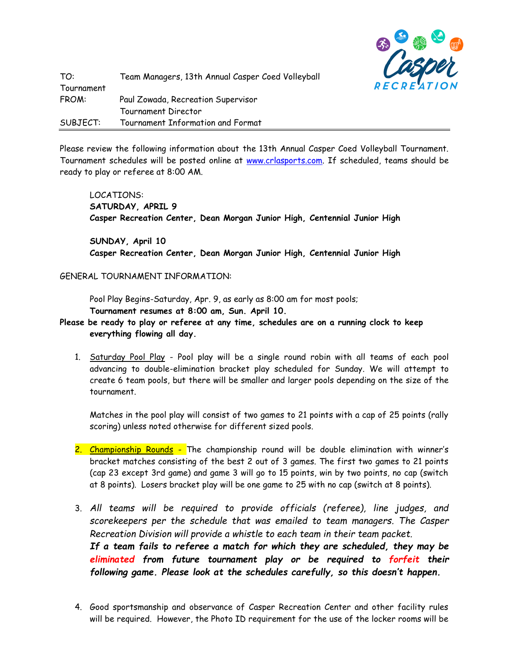

Please review the following information about the 13th Annual Casper Coed Volleyball Tournament. Tournament schedules will be posted online at [www.crlasports.com.](http://www.crlasports.com/) If scheduled, teams should be ready to play or referee at 8:00 AM.

LOCATIONS: **SATURDAY, APRIL 9 Casper Recreation Center, Dean Morgan Junior High, Centennial Junior High**

**SUNDAY, April 10 Casper Recreation Center, Dean Morgan Junior High, Centennial Junior High**

## GENERAL TOURNAMENT INFORMATION:

Pool Play Begins-Saturday, Apr. 9, as early as 8:00 am for most pools; **Tournament resumes at 8:00 am, Sun. April 10.**

- **Please be ready to play or referee at any time, schedules are on a running clock to keep everything flowing all day.** 
	- 1. Saturday Pool Play Pool play will be a single round robin with all teams of each pool advancing to double-elimination bracket play scheduled for Sunday. We will attempt to create 6 team pools, but there will be smaller and larger pools depending on the size of the tournament.

Matches in the pool play will consist of two games to 21 points with a cap of 25 points (rally scoring) unless noted otherwise for different sized pools.

- 2. Championship Rounds The championship round will be double elimination with winner's bracket matches consisting of the best 2 out of 3 games. The first two games to 21 points (cap 23 except 3rd game) and game 3 will go to 15 points, win by two points, no cap (switch at 8 points). Losers bracket play will be one game to 25 with no cap (switch at 8 points).
- 3. *All teams will be required to provide officials (referee), line judges, and scorekeepers per the schedule that was emailed to team managers. The Casper Recreation Division will provide a whistle to each team in their team packet. If a team fails to referee a match for which they are scheduled, they may be eliminated from future tournament play or be required to forfeit their following game. Please look at the schedules carefully, so this doesn't happen.*
- 4. Good sportsmanship and observance of Casper Recreation Center and other facility rules will be required. However, the Photo ID requirement for the use of the locker rooms will be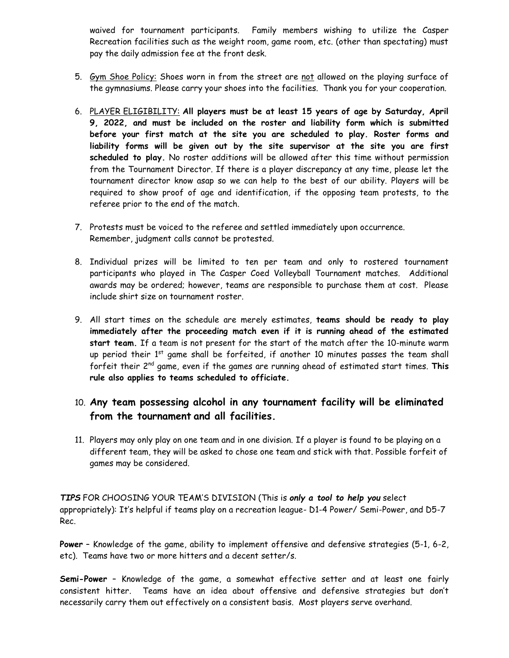waived for tournament participants. Family members wishing to utilize the Casper Recreation facilities such as the weight room, game room, etc. (other than spectating) must pay the daily admission fee at the front desk.

- 5. Gym Shoe Policy: Shoes worn in from the street are not allowed on the playing surface of the gymnasiums. Please carry your shoes into the facilities. Thank you for your cooperation.
- 6. PLAYER ELIGIBILITY: **All players must be at least 15 years of age by Saturday, April 9, 2022, and must be included on the roster and liability form which is submitted before your first match at the site you are scheduled to play. Roster forms and liability forms will be given out by the site supervisor at the site you are first scheduled to play.** No roster additions will be allowed after this time without permission from the Tournament Director. If there is a player discrepancy at any time, please let the tournament director know asap so we can help to the best of our ability. Players will be required to show proof of age and identification, if the opposing team protests, to the referee prior to the end of the match.
- 7. Protests must be voiced to the referee and settled immediately upon occurrence. Remember, judgment calls cannot be protested.
- 8. Individual prizes will be limited to ten per team and only to rostered tournament participants who played in The Casper Coed Volleyball Tournament matches. Additional awards may be ordered; however, teams are responsible to purchase them at cost. Please include shirt size on tournament roster.
- 9. All start times on the schedule are merely estimates, **teams should be ready to play immediately after the proceeding match even if it is running ahead of the estimated start team.** If a team is not present for the start of the match after the 10-minute warm up period their  $1<sup>st</sup>$  game shall be forfeited, if another 10 minutes passes the team shall forfeit their 2nd game, even if the games are running ahead of estimated start times. **This rule also applies to teams scheduled to officiate.**

## 10. **Any team possessing alcohol in any tournament facility will be eliminated from the tournament and all facilities.**

11. Players may only play on one team and in one division. If a player is found to be playing on a different team, they will be asked to chose one team and stick with that. Possible forfeit of games may be considered.

*TIPS* FOR CHOOSING YOUR TEAM'S DIVISION (This is *only a tool to help you* select appropriately): It's helpful if teams play on a recreation league- D1-4 Power/ Semi-Power, and D5-7 Rec.

**Power** – Knowledge of the game, ability to implement offensive and defensive strategies (5-1, 6-2, etc). Teams have two or more hitters and a decent setter/s.

**Semi-Power** – Knowledge of the game, a somewhat effective setter and at least one fairly consistent hitter. Teams have an idea about offensive and defensive strategies but don't necessarily carry them out effectively on a consistent basis. Most players serve overhand.